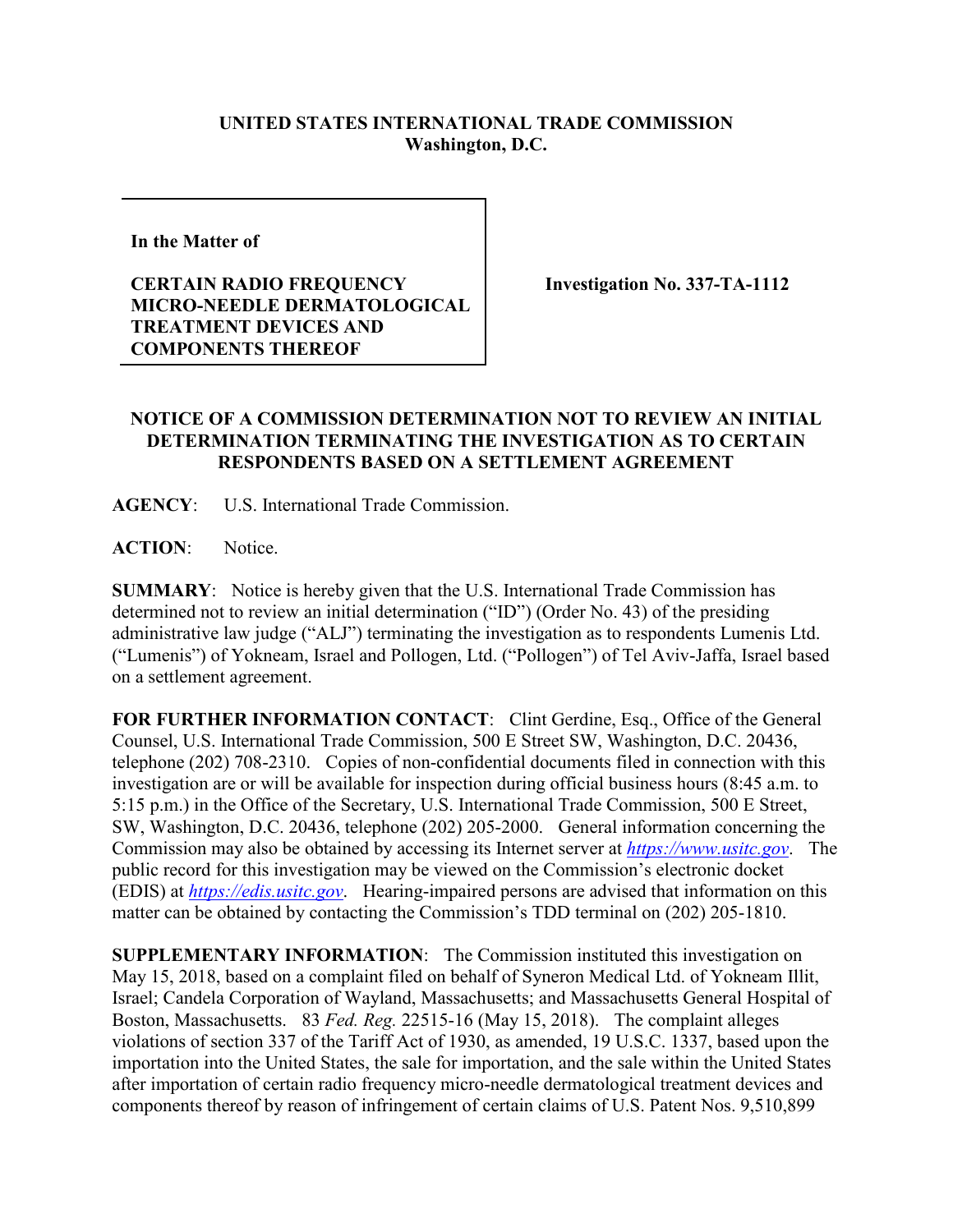## **UNITED STATES INTERNATIONAL TRADE COMMISSION Washington, D.C.**

**In the Matter of** 

## **CERTAIN RADIO FREQUENCY MICRO-NEEDLE DERMATOLOGICAL TREATMENT DEVICES AND COMPONENTS THEREOF**

**Investigation No. 337-TA-1112**

## **NOTICE OF A COMMISSION DETERMINATION NOT TO REVIEW AN INITIAL DETERMINATION TERMINATING THE INVESTIGATION AS TO CERTAIN RESPONDENTS BASED ON A SETTLEMENT AGREEMENT**

**AGENCY**: U.S. International Trade Commission.

**ACTION**: Notice.

**SUMMARY**: Notice is hereby given that the U.S. International Trade Commission has determined not to review an initial determination ("ID") (Order No. 43) of the presiding administrative law judge ("ALJ") terminating the investigation as to respondents Lumenis Ltd. ("Lumenis") of Yokneam, Israel and Pollogen, Ltd. ("Pollogen") of Tel Aviv-Jaffa, Israel based on a settlement agreement.

FOR FURTHER INFORMATION CONTACT: Clint Gerdine, Esq., Office of the General Counsel, U.S. International Trade Commission, 500 E Street SW, Washington, D.C. 20436, telephone (202) 708-2310. Copies of non-confidential documents filed in connection with this investigation are or will be available for inspection during official business hours (8:45 a.m. to 5:15 p.m.) in the Office of the Secretary, U.S. International Trade Commission, 500 E Street, SW, Washington, D.C. 20436, telephone (202) 205-2000. General information concerning the Commission may also be obtained by accessing its Internet server at *[https://www.usitc.gov](https://www.usitc.gov/)*. The public record for this investigation may be viewed on the Commission's electronic docket (EDIS) at *[https://edis.usitc.gov](https://edis.usitc.gov/)*. Hearing-impaired persons are advised that information on this matter can be obtained by contacting the Commission's TDD terminal on (202) 205-1810.

**SUPPLEMENTARY INFORMATION**: The Commission instituted this investigation on May 15, 2018, based on a complaint filed on behalf of Syneron Medical Ltd. of Yokneam Illit, Israel; Candela Corporation of Wayland, Massachusetts; and Massachusetts General Hospital of Boston, Massachusetts. 83 *Fed. Reg.* 22515-16 (May 15, 2018). The complaint alleges violations of section 337 of the Tariff Act of 1930, as amended, 19 U.S.C. 1337, based upon the importation into the United States, the sale for importation, and the sale within the United States after importation of certain radio frequency micro-needle dermatological treatment devices and components thereof by reason of infringement of certain claims of U.S. Patent Nos. 9,510,899